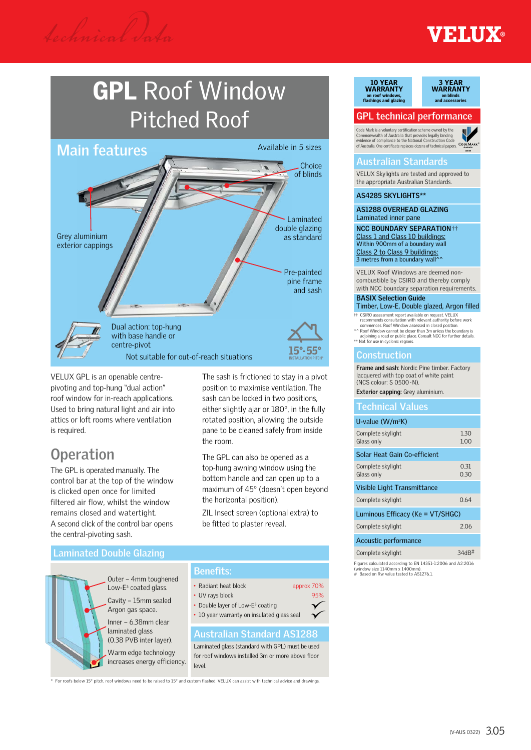*technical* d*ata*

# **FILIX®**

# GPL Roof Window Pitched Roof



VELUX GPL is an openable centrepivoting and top-hung "dual action" roof window for in-reach applications. Used to bring natural light and air into attics or loft rooms where ventilation is required.

# **Operation**

The GPL is operated manually. The control bar at the top of the window is clicked open once for limited filtered air flow, whilst the window remains closed and watertight. A second click of the control bar opens the central-pivoting sash.

The sash is frictioned to stay in a pivot position to maximise ventilation. The sash can be locked in two positions, either slightly ajar or 180°, in the fully rotated position, allowing the outside pane to be cleaned safely from inside the room.

The GPL can also be opened as a top-hung awning window using the bottom handle and can open up to a maximum of 45° (doesn't open beyond the horizontal position).

ZIL Insect screen (optional extra) to be fitted to plaster reveal.

• Radiant heat block approx 70% • UV rays block 95%

• Double layer of Low-E<sup>3</sup> coating • 10 year warranty on insulated glass seal

## **Laminated Double Glazing**

Outer – 4mm toughened Low- $E^3$  coated glass. Cavity – 15mm sealed Argon gas space. Inner – 6.38mm clear

laminated glass (0.38 PVB inter layer).

**Australian Standard AS1288** Warm edge technology increases energy efficiency. Laminated glass (standard with GPL) must be used for roof windows installed 3m or more above floor

For roofs below 15° pitch, roof windows need to be raised to 15° and custom flashed. VELUX can assist with technical advice and drawings

level.

**Benefits:**

#### 10 YEAR 10 YEAR WARRANTY



# **GPL technical performance**

Code Mark is a voluntary certification scheme owned by the<br>Commonwealth of Australia that provides legally binding<br>evidence of compliance to the National Construction Code<br>of Australia. One certificate replaces dozens of t



## **Australian Standards**

VELUX Skylights are tested and approved to the appropriate Australian Standards.

**AS4285 SKYLIGHTS\*\***

**AS1288 OVERHEAD GLAZING** Laminated inner pane

**NCC BOUNDARY SEPARATION**†† Class 1 and Class 10 buildings: Within 900mm of a boundary wall Class 2 to Class 9 buildings:<br>3 metres from a boundary wall^^

VELUX Roof Windows are deemed noncombustible by CSIRO and thereby comply with NCC boundary separation requirements.

#### **BASIX Selection Guide** Timber, Low-E, Double glazed, Argon filled

- †† CSIRO assessment report available on request. VELUX recommends consultation with relevant authority before work commences. Roof Window assessed in closed position.
- ^^ Roof Window cannot be closer than 3m unless the boundary is
- adjoining a road or public place. Consult NCC for further details. \*\* Not for use in cyclonic regions.

# **Construction**

**Frame and sash**: Nordic Pine timber. Factory lacquered with top coat of white paint (NCS colour: S 0500-N).

**Exterior capping:** Grey aluminium.

### **Technical Values**

#### U-value (W/m<sup>2</sup>K)

| Complete skylight<br>Glass only  | 1.30<br>1.00 |  |  |  |  |  |  |
|----------------------------------|--------------|--|--|--|--|--|--|
| Solar Heat Gain Co-efficient     |              |  |  |  |  |  |  |
| Complete skylight<br>Glass only  | 0.31<br>0.30 |  |  |  |  |  |  |
| Visible Light Transmittance      |              |  |  |  |  |  |  |
| Complete skylight                | 0.64         |  |  |  |  |  |  |
| Luminous Efficacy (Ke = VT/SHGC) |              |  |  |  |  |  |  |
| Complete skylight                | 2.06         |  |  |  |  |  |  |
| Acoustic performance             |              |  |  |  |  |  |  |
| Complete skylight                | 34dB         |  |  |  |  |  |  |

Figures calculated according to EN 14351-1:2006 and A2:2016 (window size 1140mm x 1400mm). # Based on Rw value tested to AS1276.1.